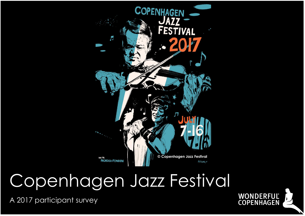

# Copenhagen Jazz Festival

A 2017 participant survey

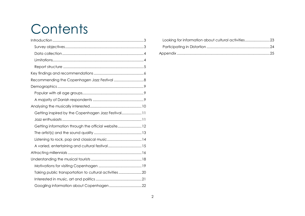# **Contents**

| Recommending the Copenhagen Jazz Festival  8          |  |
|-------------------------------------------------------|--|
|                                                       |  |
|                                                       |  |
|                                                       |  |
|                                                       |  |
| Getting inspired by the Copenhagen Jazz Festival 11   |  |
|                                                       |  |
| Getting information through the official website 12   |  |
|                                                       |  |
|                                                       |  |
| A varied, entertaining and cultural festival  15      |  |
|                                                       |  |
|                                                       |  |
|                                                       |  |
| Taking public transportation to cultural activities20 |  |
|                                                       |  |
|                                                       |  |

| Looking for information about cultural activities23 |
|-----------------------------------------------------|
|                                                     |
|                                                     |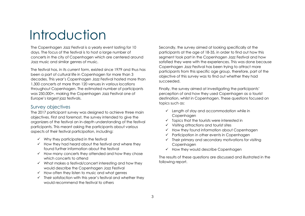# Introduction

The Copenhagen Jazz Festival is a yearly event lasting for 10 days. The focus of the festival is to host a large number of concerts in the city of Copenhagen which are centered around Jazz music and similar genres of music.

The festival has, in its current form, existed since 1979 and thus has been a part of cultural life in Copenhagen for more than 3 decades. This year's Copenhagen Jazz Festival hosted more than 1,300 concerts at more than 120 venues in various locations throughout Copenhagen. The estimated number of participants was 250,000+, making the Copenhagen Jazz Festival one of Europe's largest jazz festivals.

### <span id="page-2-0"></span>Survey objectives

The 2017 participant survey was designed to achieve three main objectives. First and foremost, the survey intended to give the organizers of the festival an in-depth understanding of the festival participants. This meant asking the participants about various aspects of their festival participation, including:

- $\checkmark$  Why they participated in the festival
- $\checkmark$  How they had heard about the festival and where they found further information about the festival
- $\checkmark$  How many concerts they attended and how they chose which concerts to attend
- ✓ What makes a festival/concert interesting and how they would describe the Copenhagen Jazz Festival
- $\checkmark$  How often they listen to music and what genres
- $\checkmark$  Their satisfaction with this year's festival and whether they would recommend the festival to others

Secondly, the survey aimed at looking specifically at the participants at the age of 18-35, in order to find out how this segment took part in the Copenhagen Jazz Festival and how satisfied they were with the experiences. This was done because Copenhagen Jazz Festival has been trying to attract more participants from this specific age group, therefore, part of the objective of this survey was to find out whether they had succeeded.

Finally, the survey aimed at investigating the participants' perception of and how they used Copenhagen as a tourist destination, whilst in Copenhagen. These questions focused on topics such as:

- ✓ Length of stay and accommodation while in **Copenhagen**
- $\checkmark$  Topics that the tourists were interested in
- ✓ Visiting attractions and tourist sites
- ✓ How they found information about Copenhagen
- ✓ Participation in other events in Copenhagen
- $\checkmark$  Their primary and secondary motivations for visiting Copenhagen
- ✓ How they would describe Copenhagen

The results of these questions are discussed and illustrated in the following report.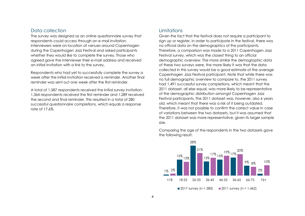### <span id="page-3-0"></span>Data collection

The survey was designed as an online questionnaire survey that respondents could access through an e-mail invitation. Interviewers were on location at venues around Copenhagen during the Copenhagen Jazz Festival and asked participants whether they would like to complete the survey. Those who agreed gave the interviewer their e-mail address and received an initial invitation with a link to the survey.

Respondents who had yet to successfully complete the survey a week after the initial invitation received a reminder. Another final reminder was sent out one week after the first reminder.

A total of 1,587 respondents received the initial survey invitation. 1,364 respondents received the first reminder and 1,289 received the second and final reminder. This resulted in a total of 280 successful questionnaire completions, which equals a response rate of 17.6%.

### <span id="page-3-1"></span>**Limitations**

Given the fact that the festival does not require a participant to sign up or register, in order to participate in the festival, there was no official data on the demographics of the participants. Therefore, a comparison was made to a 2011 Copenhagen Jazz Festival survey, which was the closest thing to an official demographic overview. The more similar the demographic data of these two surveys were, the more likely it was that the data collected in this survey would be a good estimate of the average Copenhagen Jazz Festival participant. Note that while there was no full demographic overview to compare to, the 2011 survey had 1,491 successful survey completions, which meant that the 2011 dataset, all else equal, was more likely to be representative of the demographic distribution amongst Copenhagen Jazz Festival participants. The 2011 dataset was, however, also 6 years old, which meant that there was a risk of it being outdated. Therefore, it was not possible to confirm the correct value in case of variations between the two datasets, but it was assumed that the 2011 dataset was more representative, given its larger sample size.

Comparing the age of the respondents in the two datasets gave the following result:

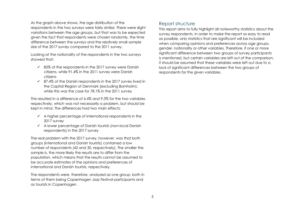As the graph above shows, the age distribution of the respondents in the two surveys were fairly similar. There were slight variations between the age groups, but that was to be expected given the fact that respondents were chosen randomly, the time difference between the surveys and the relatively small sample size of the 2017 survey compared to the 2011 survey.

Looking at the nationality of the respondents in the two surveys showed that:

- $\checkmark$  85% of the respondents in the 2017 survey were Danish citizens, while 91.4% in the 2011 survey were Danish citizens
- $\checkmark$  87.4% of the Danish respondents in the 2017 survey lived in the Capital Region of Denmark (excluding Bornholm), while this was the case for 78.1% in the 2011 survey

This resulted in a difference of 6.4% and 9.3% for the two variables respectively, which was not necessarily a problem, but should be kept in mind. The differences had two main effects:

- $\checkmark$  A higher percentage of international respondents in the 2017 survey
- ✓ A lower percentage of Danish tourists (non-local Danish respondents) in the 2017 survey

The real problem with the 2017 survey, however, was that both groups (international and Danish tourists) contained a low number of respondents (42 and 30, respectively). The smaller the sample is, the more likely the results are to differ from the population, which means that the results cannot be assumed to be accurate estimates of the opinions and preferences of international and Danish tourists, respectively.

The respondents were, therefore, analyzed as one group, both in terms of them being Copenhagen Jazz Festival participants and as tourists in Copenhagen.

### <span id="page-4-0"></span>Report structure

This report aims to fully highlight all noteworthy statistics about the survey respondents. In order to make the report as easy to read as possible, only statistics that are significant will be included when comparing opinions and preferences across age groups, gender, nationality or other variables. Therefore, if one or more significant difference between two groups of survey participants is mentioned, but certain variables are left out of the comparison, it should be assumed that these variables were left out due to a lack of significant differences between the two groups of respondents for the given variables.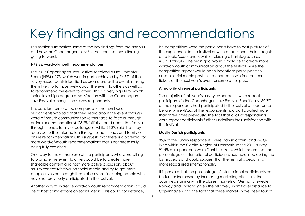# Key findings and recommendations

This section summarizes some of the key findings from the analysis and how the Copenhagen Jazz Festival can use these findings going forward.

### **NPS vs. word-of-mouth recommendations**

The 2017 Copenhagen Jazz Festival received a Net Prompter Score (NPS) of 73, which was, in part, achieved by 76.8% of the survey respondents identified as promoters for the event, making them likely to talk positively about the event to others as well as to recommend the event to others. This is a very high NPS, which indicates a high degree of satisfaction with the Copenhagen Jazz Festival amongst the survey respondents.

This can, furthermore, be compared to the number of respondents who said that they heard about the event through word-of-mouth communication (either face-to-face or through online recommendations). 28.2% initially heard about the festival through friends, family or colleagues, while 24.3% said that they received further information through either friends and family or online recommendations. This suggests that there is a potential for more word-of-mouth recommendations that is not necessarily being fully exploited.

One way to make more use of the participants who were willing to promote the event to others could be to create more shareable content and host more active discussions about music/concerts/festival on social media and try to get more people involved through these discussions, including people who have not previously participated in the festival.

Another way to increase word-of-mouth recommendations could be to host competitions on social media. This could, for instance,

be competitions were the participants have to post pictures of the experiences in the festival or write a text about their thoughts on a topic/experience, while including a hashtag such as #CPHJazz2017. The main goal would simply be to create more word-of-mouth communication about the festival, while the competition aspect would be to incentivize participants to create social media posts, for a chance to win free concerts tickets at the next year's event or some other prize.

### **A majority of repeat participants**

The majority of this year's survey respondents were repeat participants in the Copenhagen Jazz Festival. Specifically, 80.7% of the respondents had participated in the festival at least once before, while 49.6% of the respondents had participated more than three times previously. The fact that a lot of respondents were repeat participants further underlines their satisfaction with the festival.

### **Mostly Danish participants**

85% of the survey respondents were Danish citizens and 74.3% lived within the Capital Region of Denmark. In the 2011 survey, 91.4% of respondents were Danish citizens, which means that the percentage of international participants has increased during the last six years and could suggest that the festival is becoming more recognized internationally.

It is possible that the percentage of international participants can be further increased by increasing marketing efforts in other countries, starting with the closest markets of Germany, Sweden, Norway and England given the relatively short travel distance to Copenhagen and the fact that these markets have been four of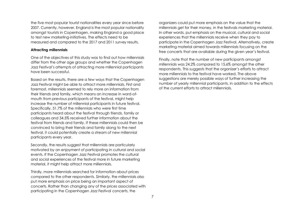the five most popular tourist nationalities every year since before 2007. Currently, however, England is the most popular nationality amongst tourists in Copenhagen, making England a good place to test new marketing-initiatives. The effects need to be measured and compared to the 2017 and 2011 survey results.

#### **Attracting millennials**

One of the objectives of this study was to find out how millennials differ from the other age groups and whether the Copenhagen Jazz Festival's attempts of attracting more millennial participants have been successful.

Based on the results, there are a few ways that the Copenhagen Jazz Festival might be able to attract more millennials. First and foremost, millennials seemed to rely more on information from their friends and family, which means an increase in word-ofmouth from previous participants of the festival, might help increase the number of millennial participants in future festival. Specifically, 51.7% of the millennials who were first time participants heard about the festival through friends, family or colleagues and 34.5% received further information about the festival from friends and family. If these millennials could then be convinced to bring their friends and family along to the next festival, it could potentially create a stream of new millennial participants every year.

Secondly, the results suggest that millennials are particularly motivated by an enjoyment of participating in cultural and social events. If the Copenhagen Jazz Festival promotes the cultural and social experiences of the festival more in future marketing material, it might help attract more millennials.

Thirdly, more millennials searched for information about prices compared to the other respondents. Similarly, the millennials also put more emphasis on price being an important aspect of concerts. Rather than changing any of the prices associated with participating in the Copenhagen Jazz Festival concerts, the

organizers could put more emphasis on the value that the millennials get for their money, in the festivals marketing material. In other words, put emphasis on the musical, cultural and social experiences that the millennials receive when they pay to participate in the Copenhagen Jazz Festival. Alternatively, create marketing material aimed towards millennials focusing on the free concerts that are available during the given year's festival.

Finally, note that the number of new participants amongst millennials was 24.2% compared to 15.6% amongst the other respondents. This suggests that the organizer's efforts to attract more millennials to the festival have worked. The above suggestions are merely possible ways of further increasing the number of yearly millennial participants, in addition to the effects of the current efforts to attract millennials.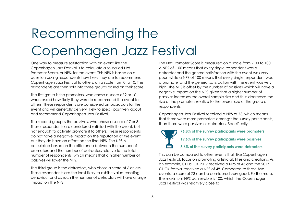# Recommending the Copenhagen Jazz Festival

One way to measure satisfaction with an event like the Copenhagen Jazz Festival is to calculate a so-called Net Promoter Score, or NPS, for the event. This NPS is based on a question asking respondents how likely they are to recommend Copenhagen Jazz Festival to others, on a scale from 0 to 10. The respondents are then split into three groups based on their score.

The first group is the promoters, who chose a score of 9 or 10 when asked how likely they were to recommend the event to others. These respondents are considered ambassadors for the event and will generally be very likely to speak positively about and recommend Copenhagen Jazz Festival.

The second group is the passives, who chose a score of 7 or 8. These respondents are considered satisfied with the event, but not enough to actively promote it to others. These respondents do not have a negative impact on the reputation of the event, but they do have an effect on the final NPS. The NPS is calculated based on the difference between the number of promoters and the number of detractors relative to the total number of respondents, which means that a higher number of passives will lower the NPS.

The third group is the detractors, who chose a score of 6 or less. These respondents are the least likely to exhibit value-creating behaviour and as such the number of detractors will have a large impact on the NPS.

The Net Promoter Score is measured on a scale from -100 to 100. A NPS of -100 means that every single respondent was a detractor and the general satisfaction with the event was very poor, while a NPS of 100 means that every single respondent was a promoter and the general satisfaction with the event was very high. The NPS is offset by the number of passives which will have a negative impact on the NPS given that a higher number of passives increases the overall sample size and thus decreases the size of the promoters relative to the overall size of the group of respondents.

Copenhagen Jazz Festival received a NPS of 73, which means that there were more promoters amongst the survey participants, than there were passives or detractors. Specifically:

**76.8% of the survey participants were promoters 19.6% of the survey participants were passives 3.6% of the survey participants were detractors.**

This can be compared to other events that, like Copenhagen Jazz Festival, focus on promoting artistic abilities and creations. As an example, CPH:DOX 2017 received a NPS of 45 and the 2017 CLICK festival received a NPS of 48. Compared to these two events, a score of 73 can be considered very good. Furthermore, the maximum NPS achievable is 100, which the Copenhagen Jazz Festival was relatively close to.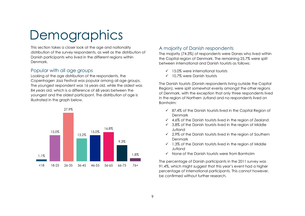# **Demographics**

This section takes a closer look at the age and nationality distribution of the survey respondents, as well as the distribution of Danish participants who lived in the different regions within Denmark.

### <span id="page-8-0"></span>Popular with all age groups

Looking at the age distribution of the respondents, the Copenhagen Jazz Festival was popular among all age groups. The youngest respondent was 16 years old, while the oldest was 84 years old, which is a difference of 68 years between the youngest and the oldest participant. The distribution of age is illustrated in the graph below.



### <span id="page-8-1"></span>A majority of Danish respondents

The majority (74.3%) of respondents were Danes who lived within the Capital region of Denmark. The remaining 25.7% were split between international and Danish tourists as follows:

- ✓ 15.0% were international tourists
- ✓ 10.7% were Danish tourists

The Danish tourists (Danish respondents living outside the Capital Region), were split somewhat evenly amongst the other regions of Denmark, with the exception that only three respondents lived in the region of Northern Jutland and no respondents lived on Bornholm:

- $\checkmark$  87.4% of the Danish tourists lived in the Capital Region of Denmark
- $\checkmark$  4.6% of the Danish tourists lived in the region of Zealand
- $\checkmark$  3.8% of the Danish tourists lived in the region of Middle Jutland
- ✓ 2.9% of the Danish tourists lived in the region of Southern Denmark
- $\checkmark$  1.3% of the Danish tourists lived in the region of Middle Jutland
- ✓ None of the Danish tourists were from Bornholm

The percentage of Danish participants in the 2011 survey was 91.4%, which might suggest that this year's event had a higher percentage of international participants. This cannot however, be confirmed without further research.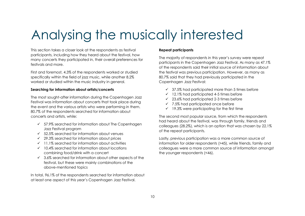# Analysing the musically interested

This section takes a closer look at the respondents as festival participants, including how they heard about the festival, how many concerts they participated in, their overall preferences for festivals and more.

First and foremost, 4.3% of the respondents worked or studied specifically within the field of jazz music, while another 8.2% worked or studied within the music industry in general.

### **Searching for information about artists/concerts**

The most sought-after information during the Copenhagen Jazz Festival was information about concerts that took place during the event and the various artists who were performing in them. 80.7% of the respondents searched for information about concerts and artists, while:

- $\checkmark$  57.9% searched for information about The Copenhagen Jazz Festival program
- $\checkmark$  52.5% searched for information about venues
- ✓ 29.3% searched for information about prices
- $\checkmark$  11.1% searched for information about activities
- $\checkmark$  10.4% searched for information about locations combining food/drink with a concert
- $\checkmark$  3.6% searched for information about other aspects of the festival, but these were mainly combinations of the above-mentioned topics

In total, 96.1% of the respondents searched for information about at least one aspect of this year's Copenhagen Jazz Festival.

#### **Repeat participants**

The majority of respondents in this year's survey were repeat participants in the Copenhagen Jazz Festival. As many as 47.1% of the respondents said their initial source of information about the festival was previous participation. However, as many as 80.7% said that they had previously participated in the Copenhagen Jazz Festival:

- $\checkmark$  37.5% had participated more than 5 times before
- $\checkmark$  12.1% had participated 4-5 times before
- $\checkmark$  23.6% had participated 2-3 times before
- $\checkmark$  7.5% had participated once before
- $\checkmark$  19.3% were participating for the first time

The second most popular source, from which the respondents had heard about the festival, was through family, friends and colleagues (28.2%), which is an option that was chosen by 22.1% of the repeat participants.

Lastly, previous participation was a more common source of information for older respondents (>45), while friends, family and colleagues were a more common source of information amongst the younger respondents (<46).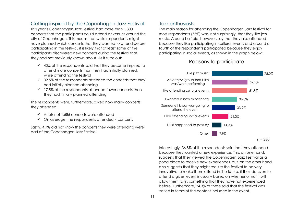### <span id="page-10-0"></span>Getting inspired by the Copenhagen Jazz Festival

This year's Copenhagen Jazz Festival had more than 1,300 concerts that the participants could attend at venues around the city of Copenhagen. This means that while respondents might have planned which concerts that they wanted to attend before participating in the festival, it is likely that at least some of the participants discovered new concerts during the festival that they had not previously known about. As it turns out:

- $\checkmark$  40% of the respondents said that they became inspired to attend more concerts than they had initially planned, while attending the festival
- $\checkmark$  32.5% of the respondents attended the concerts that they had initially planned attending
- $\checkmark$  17.5% of the respondents attended fewer concerts than they had initially planned attending

The respondents were, furthermore, asked how many concerts they attended:

- ✓ A total of 1,686 concerts were attended
- $\checkmark$  On average, the respondents attended 4 concerts

Lastly, 4.7% did not know the concerts they were attending were part of the Copenhagen Jazz Festival.

### <span id="page-10-1"></span>Jazz enthusiasts

The main reason for attending the Copenhagen Jazz festival for most respondents (75%) was, not surprisingly, that they like jazz music. Around half did, however, say that they also attended because they like participating in cultural events and around a fourth of the respondents participated because they enjoy participating in social events, as shown in the graph below:

### Reasons to participate



Interestingly, 36.8% of the respondents said that they attended because they wanted a new experience. This, on one hand, suggests that they viewed the Copenhagen Jazz Festival as a good place to receive new experiences, but, on the other hand, also suggests that they might require the festival to be very innovative to make them attend in the future, if their decision to attend a given event is usually based on whether or not it will allow them to try something that they have not experienced before. Furthermore, 24.3% of these said that the festival was varied in terms of the content included in the event.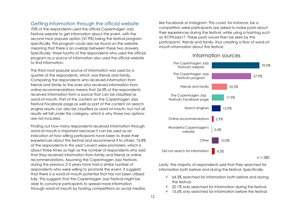### <span id="page-11-0"></span>Getting information through the official website

70% of the respondents used the official Copenhagen Jazz Festival website to get information about the event, with the second most popular option (57.9%) being the festival program specifically. This program could also be found on the website, meaning that there is an overlap between these two answers. Specifically, three fourths of the respondents who used the official program as a source of information also used the official website to find information.

The third most popular source of information was used by a quarter of the respondents, which was friends and family. Comparing the respondents who received information from friends and family to the ones who received information from online recommendations means that 24.3% of the respondents received information from a source that can be classified as word-of-mouth. Part of the content on the Copenhagen Jazz Festival Facebook page as well as part of the content on search engine results can also be classified as word-of-mouth, but not all results will fall under this category, which is why those two options are not included.

Finding out how many respondents received information through word-of-mouth is important because it can be used as an indication of how willing participants have been to share their experiences about the festival and recommend it to others. 76.8% of the respondents in this year's event were promoters, which is about three times as high as the number of respondents who said that they received information from family and friends or online recommendations. Assuming the Copenhagen Jazz Festivals during the previous 2-3 years have had a similar number of respondents who were willing to promote the event, it suggests that there is a word-of-mouth potential that has not been utilized fully. This suggests that the Copenhagen Jazz Festival might be able to convince participants to spread more information through word-of-mouth by hosting competitions on social medias

like Facebook or Instagram. This could, for instance, be a competition were participants are asked to make posts about their experiences during the festival, while using a hashtag such as #CPHJazz17. These posts would then be seen by the participants' friends and family, thus creating a flow of word-ofmouth information about the festival.



Information sources

Lastly, the majority of respondents said that they searched for information both before and during the festival. Specifically:

- $64.3\%$  searched for information both before and during the festival
- $\checkmark$  20.1% only searched for information during the festival
- $\checkmark$  15.6% only searched for information before the festival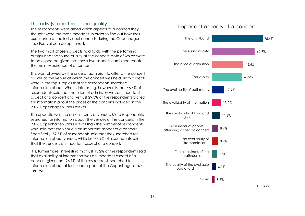### <span id="page-12-0"></span>The artist(s) and the sound quality

The respondents were asked which aspects of a concert they thought were the most important, in order to find out how their experience at the individual concerts during the Copenhagen Jazz Festival can be optimized.

The two most chosen aspects had to do with the performing artist(s) and the sound quality at the concert, both of which were to be expected given that these two aspects combined create the main experience of a concert.

This was followed by the price of admission to attend the concert as well as the venue at which the concert was held. Both aspects were in the top 4 topics that the respondents searched information about. What is interesting, however, is that 46.4% of respondents said that the price of admission was an important aspect of a concert and yet just 29.3% of the respondents looked for information about the prices of the concerts included in the 2017 Copenhagen Jazz Festival.

The opposite was the case in terms of venues. More respondents searched for information about the venues of the concerts in the 2017 Copenhagen Jazz Festival than the number of respondents who said that the venue is an important aspect of a concert. Specifically, 52.5% of respondents said that they searched for information about venues, while just 43,9% of respondents said that the venue is an important aspect of a concert.

It is, furthermore, interesting that just 13.2% of the respondents said that availability of information was an important aspect of a concert, given that 96.1% of the respondents searched for information about at least one aspect of the Copenhagen Jazz Festival.

### Important aspects of a concert

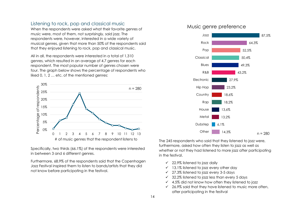### <span id="page-13-0"></span>Listening to rock, pop and classical music

When the respondents were asked what their favorite genres of music were, most of them, not surprisingly, said jazz. The respondents were, however, interested in a wide variety of musical genres, given that more than 50% of the respondents said that they enjoyed listening to rock, pop and classical music.

All in all, the respondents were interested in a total of 1,310 genres, which resulted in an average of 4.7 genres for each respondent. The most popular number of genres chosen were four. The graph below shows the percentage of respondents who liked 0, 1, 2 … etc. of the mentioned genres:



Specifically, two thirds (66.1%) of the respondents were interested in between 3 and 6 different genres.

Furthermore, 68.9% of the respondents said that the Copenhagen Jazz Festival inspired them to listen to bands/artists that they did not know before participating in the festival.

### Music genre preference



The 245 respondents who said that they listened to jazz were, furthermore, asked how often they listen to jazz as well as whether or not they had listened to more jazz after participating in the festival.

- $\checkmark$  22.9% listened to jazz daily
- $\checkmark$  13.1% listened to jazz every other day
- ✓ 27.3% listened to jazz every 3-5 days
- $\checkmark$  32.2% listened to jazz less than every 5 days
- $\checkmark$  4.5% did not know how often they listened to jazz
- $\checkmark$  26.9% said that they have listened to music more often, after participating in the festival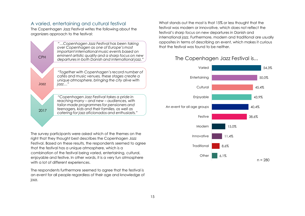### <span id="page-14-0"></span>A varied, entertaining and cultural festival

The Copenhagen Jazz Festival writes the following about the organizers approach to the festival:



The survey participants were asked which of the themes on the right that they thought best describes the Copenhagen Jazz Festival. Based on these results, the respondents seemed to agree that the festival has a unique atmosphere, which is a combination of the festival being varied, entertaining, cultural, enjoyable and festive. In other words, it is a very fun atmosphere with a lot of different experiences.

The respondents furthermore seemed to agree that the festival is an event for all people regardless of their age and knowledge of jazz.

What stands out the most is that 15% or less thought that the festival was modern or innovative, which does not reflect the festival's sharp focus on new departures in Danish and international jazz. Furthermore, modern and traditional are usually opposites in terms of describing an event, which makes it curious that the festival was found to be neither.

# The Copenhagen Jazz Festival is...

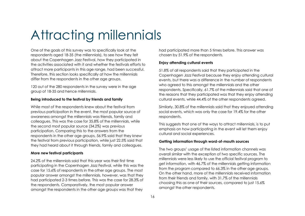# Attracting millennials

One of the goals of this survey was to specifically look at the respondents aged 18-35 (the millennials), to see how they felt about the Copenhagen Jazz Festival, how they participated in the activities associated with it and whether the festivals efforts to attract more participants in this age range, had been successful. Therefore, this section looks specifically at how the millennials differ from the respondents in the other age groups.

120 out of the 280 respondents in the survey were in the age group of 18-35 and hence millennials.

#### **Being introduced to the festival by friends and family**

While most of the respondents knew about the festival from previous participation in the event, the most popular source of awareness amongst the millennials was friends, family and colleagues. This was the case for 35.8% of the millennials, while the second most popular source (34.2%) was previous participation. Comparing this to the answers from the respondents in the other age groups, 56.9% said that they knew the festival from previous participation, while just 22.5% said that they had heard about it through friends, family and colleagues.

#### **More new festival participants**

24.2% of the millennials said that this year was their first time participating in the Copenhagen Jazz Festival, while this was the case for 15.6% of respondents in the other age groups. The most popular answer amongst the millennials, however, was that they had participated 2-3 times before. This was the case for 28.3% of the respondents. Comparatively, the most popular answer amongst the respondents in the other age groups was that they

had participated more than 5 times before. This answer was chosen by 51.9% of the respondents.

### **Enjoy attending cultural events**

51.8% of all respondents said that they participated in the Copenhagen Jazz Festival because they enjoy attending cultural events, but there was a difference in the number of respondents who agreed to this amongst the millennials and the other respondents. Specifically, 61.7% of the millennials said that one of the reasons that they participated was that they enjoy attending cultural events, while 44.4% of the other respondents agreed.

Similarly, 30.8% of the millennials said that they enjoyed attending social events, which was only the case for 19.4% for the other respondents.

This suggests that one of the ways to attract millennials, is to put emphasis on how participating in the event will let them enjoy cultural and social experiences.

### **Getting information through word-of-mouth sources**

The two groups' usage of the listed information channels was overall similar with the exception of two specific sources. The millennials were less likely to use the official festival program to get information, with 46.7% of the millennials getting information from the program compared to 66.3% in the other age groups. On the other hand, more of the millennials received information from their friends and family, with 31.7% of the millennials choosing this as one of their sources, compared to just 15.6% amongst the other respondents.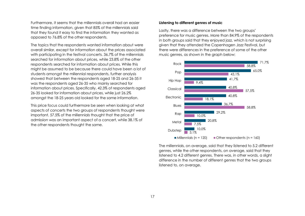Furthermore, it seems that the millennials overall had an easier time finding information, given that 85% of the millennials said that they found it easy to find the information they wanted as opposed to 76.8% of the other respondents.

The topics that the respondents wanted information about were overall similar, except for information about the prices associated with participating in the festival concerts. 36.7% of the millennials searched for information about prices, while 23.8% of the other respondents searched for information about prices. While this might be assumed to be because there could have been a lot of students amongst the millennial respondents, further analysis showed that between the respondents aged 18-25 and 26-35 it was the respondents aged 26-35 who mainly searched for information about prices. Specifically, 42.3% of respondents aged 26-35 looked for information about prices, while just 26.2% amongst the 18-25 years old looked for the same information.

This price focus could furthermore be seen when looking at what aspects of concerts the two groups of respondents thought were important. 57.5% of the millennials thought that the price of admission was an important aspect of a concert, while 38.1% of the other respondents thought the same.

#### **Listening to different genres of music**

Lastly, there was a difference between the two groups' preference for music genres. More than 84.9% of the respondents in both groups said that they enjoyed jazz, which is not surprising given that they attended the Copenhagen Jazz Festival, but there were differences in the preference of some of the other music genres, as shown in the graph below:



The millennials, on average, said that they listened to 5.2 different genres, while the other respondents, on average, said that they listened to 4.2 different genres. There was, in other words, a slight difference in the number of different genres that the two groups listened to, on average.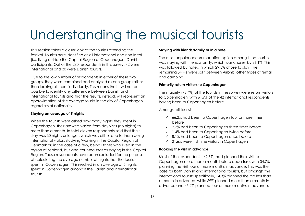# Understanding the musical tourists

This section takes a closer look at the tourists attending the festival. Tourists here identified as all international and non-local (i.e. living outside the Capital Region of Copenhagen) Danish participants. Out of the 280 respondents in this survey, 42 were international and 30 were Danish tourists.

Due to the low number of respondents in either of these two groups, they were combined and analyzed as one group rather than looking at them individually. This means that it will not be possible to identify any difference between Danish and international tourists and that the results, instead, will represent an approximation of the average tourist in the city of Copenhagen, regardless of nationality.

### **Staying an average of 5 nights**

When the tourists were asked how many nights they spent in Copenhagen, their answers varied from day visits (no nights) to more than a month. In total eleven respondents said that their stay was 30 nights or longer, which was either due to them being international visitors studying/working in the Capital Region of Denmark or, in the case of a few, being Danes who lived in the region of Zealand, but who counted that as staying in the Capital Region. These respondents have been excluded for the purpose of calculating the average number of nights that the tourists spent in Copenhagen. This resulted in an average of 5 nights spent in Copenhagen amongst the Danish and international tourists.

### **Staying with friends/family or in a hotel**

The most popular accommodation option amongst the tourists was staying with friends/family, which was chosen by 36.1%. This was followed by hotels in which 29.5% chose to stay. The remaining 34.4% were split between Airbnb, other types of rental and camping.

#### **Primarily return visitors to Copenhagen**

The majority (78.4%) of the tourists in the survey were return visitors to Copenhagen, with 61.9% of the 42 international respondents having been to Copenhagen before.

Amonast all tourists:

- $66.2\%$  had been to Copenhagen four or more times before
- $\checkmark$  2.7% had been to Copenhagen three times before
- $\checkmark$  1.4% had been to Copenhagen twice before
- $\checkmark$  8.1% had been to Copenhagen once before
- ✓ 21.6% were first time visitors in Copenhagen

#### **Booking the visit in advance**

Most of the respondents (62.5%) had planned their visit to Copenhagen more than a month before departure, with 34.7% planning the visit four or more months in advance. This was the case for both Danish and international tourists, but amongst the international tourists specifically, 14.3% planned the trip less than a month in advance, while 69% planned more than a month in advance and 45.2% planned four or more months in advance.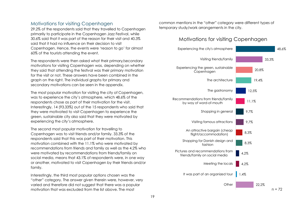### <span id="page-18-0"></span>Motivations for visiting Copenhagen

29.2% of the respondents said that they travelled to Copenhagen primarily to participate in the Copenhagen Jazz Festival, while 30.6% said that it was part of the reason for their visit and 40.3% said that it had no influence on their decision to visit Copenhagen. Hence, the events were 'reason to go' for almost 60% of the tourists attending the event.

The respondents were then asked what their primary/secondary motivations for visiting Copenhagen was, depending on whether they said that attending the festival was their primary motivation for the visit or not. These answers have been combined in the graph on the right. The individual graphs for primary and secondary motivations can be seen in the appendix.

The most popular motivation for visiting the city of Copenhagen, was to experience the city's atmosphere, which 48.6% of the respondents chose as part of their motivation for the visit. Interestingly, 14 (93.33%) out of the 15 respondents who said that they were motivated to visit Copenhagen to experience the green, sustainable city also said that they were motivated by experiencing the city's atmosphere.

The second most popular motivation for travelling to Copenhagen was to visit friends and/or family. 33.3% of the respondents said that this was part of their motivation. This motivation combined with the 11.1% who were motivated by recommendations from friends and family as well as the 4.2% who were motivated by recommendations from friends/family on social media, means that 43.1% of respondents were, in one way or another, motivated to visit Copenhagen by their friends and/or family.

Interestingly, the third most popular options chosen was the "other" category. The answer given therein were, however, very varied and therefore did not suggest that there was a popular motivation that was excluded from the list above. The most

common mentions in the "other" category were different types of temporary study/work arrangements in the city.

### Motivations for visiting Copenhagen

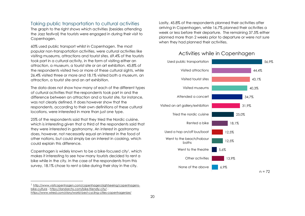### <span id="page-19-0"></span>Taking public transportation to cultural activities

The graph to the right shows which activities (besides attending the Jazz festival) the tourists were engaged in during their visit to Copenhagen.

60% used public transport whilst in Copenhagen. The most popular non-transportation activities, were cultural activities like visiting museums, attractions and tourist sites. 69.4% of the tourists took part in a cultural activity, in the form of visiting either an attraction, a museum, a tourist site or an art exhibition. 45.8% of the respondents visited two or more of these cultural sights, while 26.4% visited three or more and 18.1% visited both a museum, an attraction, a tourist site and an art exhibition.

The data does not show how many of each of the different types of cultural activities that the respondents took part in and the difference between an attraction and a tourist site, for instance, was not clearly defined. It does however show that the respondents, according to their own definitions of these cultural locations, were interested in more than just one type.

25% of the respondents said that they tried the Nordic cuisine, which is interesting given that a third of the respondents said that they were interested in gastronomy. An interest in gastronomy does, however, not necessarily equal an interest in the food of other nations, but could simply be an interest in cooking, which could explain this difference.

Copenhagen is widely known to be a bike-focused city<sup>1</sup>, which makes it interesting to see how many tourists decided to rent a bike while in the city. In the case of the respondents from this survey, 18.1% chose to rent a bike during their stay in the city.

l

Lastly, 45.8% of the respondents planned their activities after arriving in Copenhagen, while 16.7% planned their activities a week or less before their departure. The remaining 37.5% either planned more than 2 weeks prior to departure or were not sure when they had planned their activities.



### Activities while in Copenhagen

<sup>1</sup> [http://www.visitcopenhagen.com/copenhagen/sightseeing/copenhagens](http://www.visitcopenhagen.com/copenhagen/sightseeing/copenhagens-bike-culture)[bike-culture](http://www.visitcopenhagen.com/copenhagen/sightseeing/copenhagens-bike-culture) - <https://landarchs.com/bike-friendly-city/> -

<https://www.wired.com/story/world-best-cycling-cities-copenhagenize/>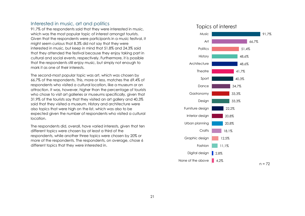### <span id="page-20-0"></span>Interested in music, art and politics

91.7% of the respondents said that they were interested in music, which was the most popular topic of interest amongst tourists. Given that the respondents were participants in a music festival, it might seem curious that 8.3% did not say that they were interested in music, but keep in mind that 51.8% and 24.3% said that they attended the festival because they enjoy taking part in cultural and social events, respectively. Furthermore, it is possible that the respondents still enjoy music, but simply not enough to mark it as one of their interests.

The second-most popular topic was art, which was chosen by 66.7% of the respondents. This, more or less, matches the 69.4% of respondents who visited a cultural location, like a museum or an attraction. It was, however, higher than the percentage of tourists who chose to visit art galleries or museums specifically, given that 31.9% of the tourists say that they visited an art gallery and 40,3% said that they visited a museum. History and architecture were also topics that were high on the list, which was also to be expected given the number of respondents who visited a cultural location.

The respondents did, overall, have varied interests, given that ten different topics were chosen by at least a third of the respondents, while another three topics were chosen by 20% or more of the respondents. The respondents, on average, chose 6 different topics that they were interested in.

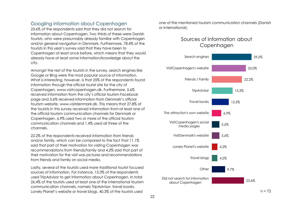### <span id="page-21-0"></span>Googling information about Copenhagen

23.6% of the respondents said that they did not search for information about Copenhagen. Two thirds of these were Danish tourists, who were presumably already familiar with Copenhagen and/or general navigation in Denmark. Furthermore, 78.4% of the tourists in this year's survey said that they have been to Copenhagen at least once before, which means that they would already have at least some information/knowledge about the city.

Amongst the rest of the tourists in the survey, search engines like Google or Bing were the most popular source of information. What is interesting, however, is that 25% of the respondents found information through the official tourist site for the city of Copenhagen, www.visitcopenhagen.dk. Furthermore, 5.6% received information from the city's official tourism Facebook page and 5.6% received information from Denmark's official tourism website, www.visitdenmark.dk. This means that 27.8% of the tourists in this survey received information from at least one of the official tourism communication channels for Denmark or Copenhagen. 6.9% used two or more of the official tourism communication channels and 1.4% used all three of the channels.

22.2% of the respondents received information from friends and/or family, which can be compared to the fact that 11.1% said that part of their motivation for visiting Copenhagen was recommendations from friends/family and 4.2% said that part of their motivation for the visit was pictures and recommendations from friends and family on social media.

Lastly, several of the tourists used more traditional tourist focused sources of information. For instance, 15.3% of the respondents used TripAdvisor to get information about Copenhagen. In total 26.4% of the tourists used at least one of the international tourism communication channels, namely TripAdvisor, travel books, Lonely Planet's website or travel blogs. 40.3% of the tourists used

one of the mentioned tourism communication channels (Danish or international).

### Sources of information about **Copenhagen**

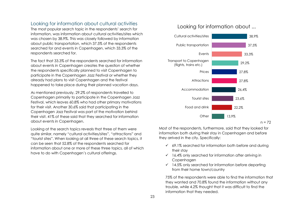### <span id="page-22-0"></span>Looking for information about cultural activities

The most popular search topic in the respondents' search for information, was information about cultural activities/sites which was chosen by 38.9%. This was closely followed by information about public transportation, which 37.5% of the respondents searched for and events in Copenhagen, which 33.3% of the respondents searched for.

The fact that 33.3% of the respondents searched for information about events in Copenhagen creates the question of whether the respondents specifically planned to visit Copenhagen to participate in the Copenhagen Jazz Festival or whether they already had plans to visit Copenhagen and the festival happened to take place during their planned vacation days.

As mentioned previously, 29.2% of respondents travelled to Copenhagen primarily to participate in the Copenhagen Jazz Festival, which leaves 60.8% who had other primary motivations for their visit. Another 30.6% said that participating in the Copenhagen Jazz Festival was part of the motivation behind their visit. 41% of these said that they searched for information about events in Copenhagen.

Looking at the search topics reveals that three of them were quite similar, namely "cultural activities/sites", "attractions" and "tourist sites". When looking at all three of these search topics, it can be seen that 52.8% of the respondents searched for information about one or more of these three topics, all of which have to do with Copenhagen's cultural offerings.

### Looking for information about ...



 $n = 72$ 

Most of the respondents, furthermore, said that they looked for information both during their stay in Copenhagen and before they arrived in the city. Specifically:

- ✓ 69.1% searched for information both before and during their stay
- $\checkmark$  16.4% only searched for information after arriving in Copenhagen
- $\checkmark$  14.5% only searched for information before departing from their home town/country

75% of the respondents were able to find the information that they wanted and 70.8% found the information without any trouble, while 4.2% thought that it was difficult to find the information that they needed.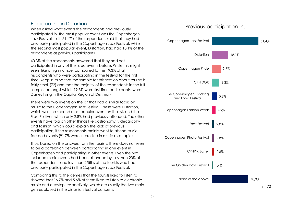### <span id="page-23-0"></span>Participating in Distortion

When asked what events the respondents had previously participated in, the most popular event was the Copenhagen Jazz Festival itself. 51.4% of the respondents said that they had previously participated in the Copenhagen Jazz Festival, while the second most popular event, Distortion, had had 18.1% of the respondents as previous participants.

40.3% of the respondents answered that they had not participated in any of the listed events before. While this might seem like a high number compared to the 19.3% of all respondents who were participating in the festival for the first time, keep in mind that the sample for this section about tourists is fairly small (72) and that the majority of the respondents in the full sample, amongst which 19.3% were first time participants, were Danes living in the Capital Region of Denmark.

There were two events on the list that had a similar focus on music to the Copenhagen Jazz Festival. These were Distortion, which was the second most popular event on the list, and the Frost Festival, which only 2.8% had previously attended. The other events have foci on other things like gastronomy, videography and fashion, which could explain the lack of previous participation, if the respondents mainly want to attend musicfocused events (91.7% were interested in music as a topic).

Thus, based on the answers from the tourists, there does not seem to be a correlation between participating in one event in Copenhagen and participating in other events. Even the two included music events had been attended by less than 20% of the respondents and less than 2/5ths of the tourists who had previously participated in the Copenhagen Jazz Festival.

Comparing this to the genres that the tourists liked to listen to showed that 16.7% and 5.6% of them liked to listen to electronic music and dubstep, respectively, which are usually the two main genres played in the distortion festival concerts.

### Previous participation in...

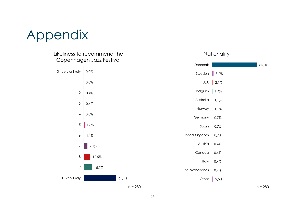# Appendix

### Likeliness to recommend the Copenhagen Jazz Festival



### **Nationality**

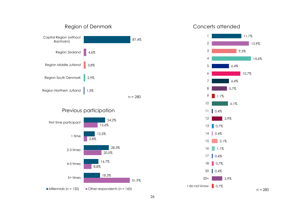



### Concerts attended

 $\Box$  0,7%

0,4%

l do not know | 0,7%

20+

18

20

3,9%

 $n = 280$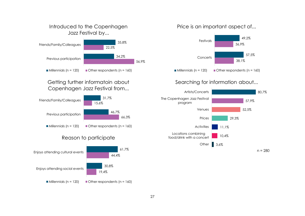# Introduced to the Copenhagen Jazz Festival by...



# Getting further informatoin about Copenhagen Jazz Festival from...



### Reason to participate



### Price is an important aspect of...



# Searching for information about...

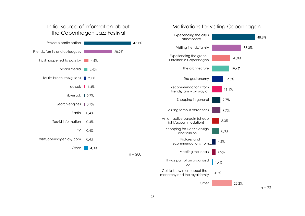### Initial source of information about the Copenhagen Jazz Festival



### Motivations for visiting Copenhagen

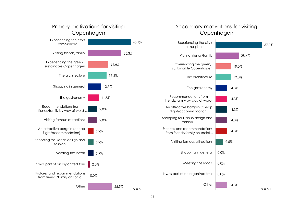

### Secondary motivations for visiting Copenhagen

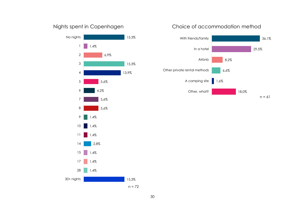# Nights spent in Copenhagen



# Choice of accommodation method